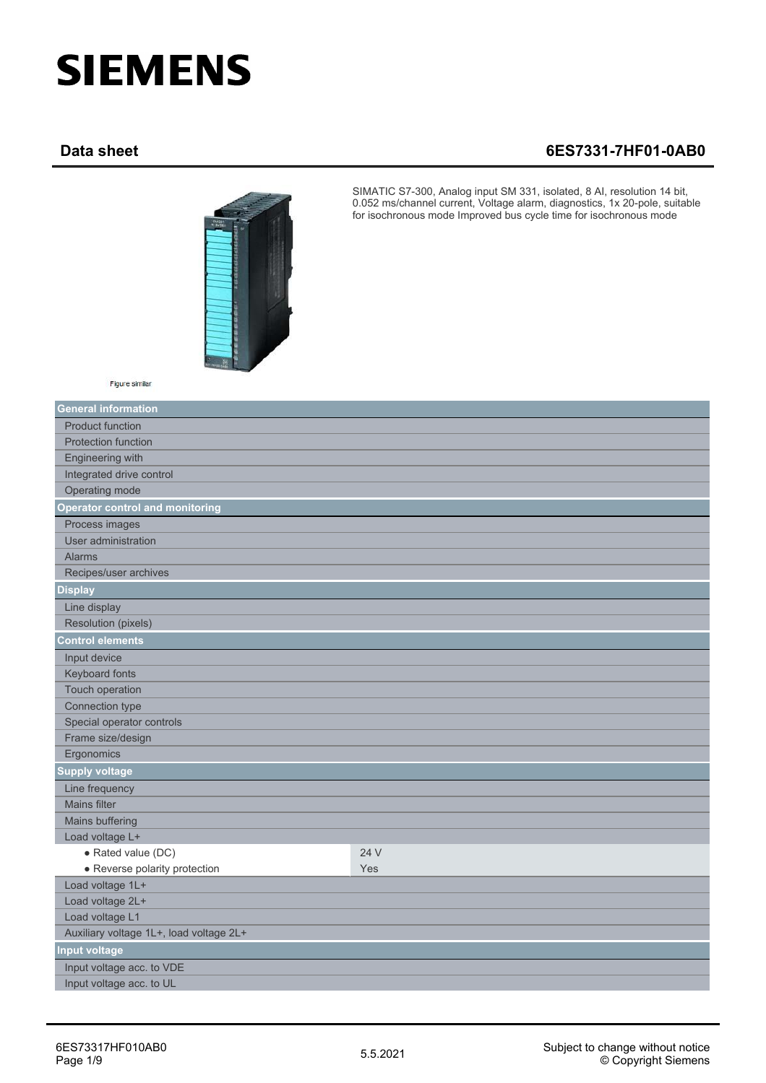## **SIEMENS**

## **Data sheet 6ES7331-7HF01-0AB0**



SIMATIC S7-300, Analog input SM 331, isolated, 8 AI, resolution 14 bit, 0.052 ms/channel current, Voltage alarm, diagnostics, 1x 20-pole, suitable for isochronous mode Improved bus cycle time for isochronous mode

Figure similar

| <b>General information</b>              |      |
|-----------------------------------------|------|
| <b>Product function</b>                 |      |
| <b>Protection function</b>              |      |
| Engineering with                        |      |
| Integrated drive control                |      |
| Operating mode                          |      |
| <b>Operator control and monitoring</b>  |      |
| Process images                          |      |
| User administration                     |      |
| <b>Alarms</b>                           |      |
| Recipes/user archives                   |      |
| <b>Display</b>                          |      |
| Line display                            |      |
| Resolution (pixels)                     |      |
| <b>Control elements</b>                 |      |
| Input device                            |      |
| Keyboard fonts                          |      |
| Touch operation                         |      |
| Connection type                         |      |
| Special operator controls               |      |
| Frame size/design                       |      |
| Ergonomics                              |      |
| <b>Supply voltage</b>                   |      |
| Line frequency                          |      |
| <b>Mains filter</b>                     |      |
| Mains buffering                         |      |
| Load voltage L+                         |      |
| · Rated value (DC)                      | 24 V |
| • Reverse polarity protection           | Yes  |
| Load voltage 1L+                        |      |
| Load voltage 2L+                        |      |
| Load voltage L1                         |      |
| Auxiliary voltage 1L+, load voltage 2L+ |      |
| <b>Input voltage</b>                    |      |
| Input voltage acc. to VDE               |      |
| Input voltage acc. to UL                |      |
|                                         |      |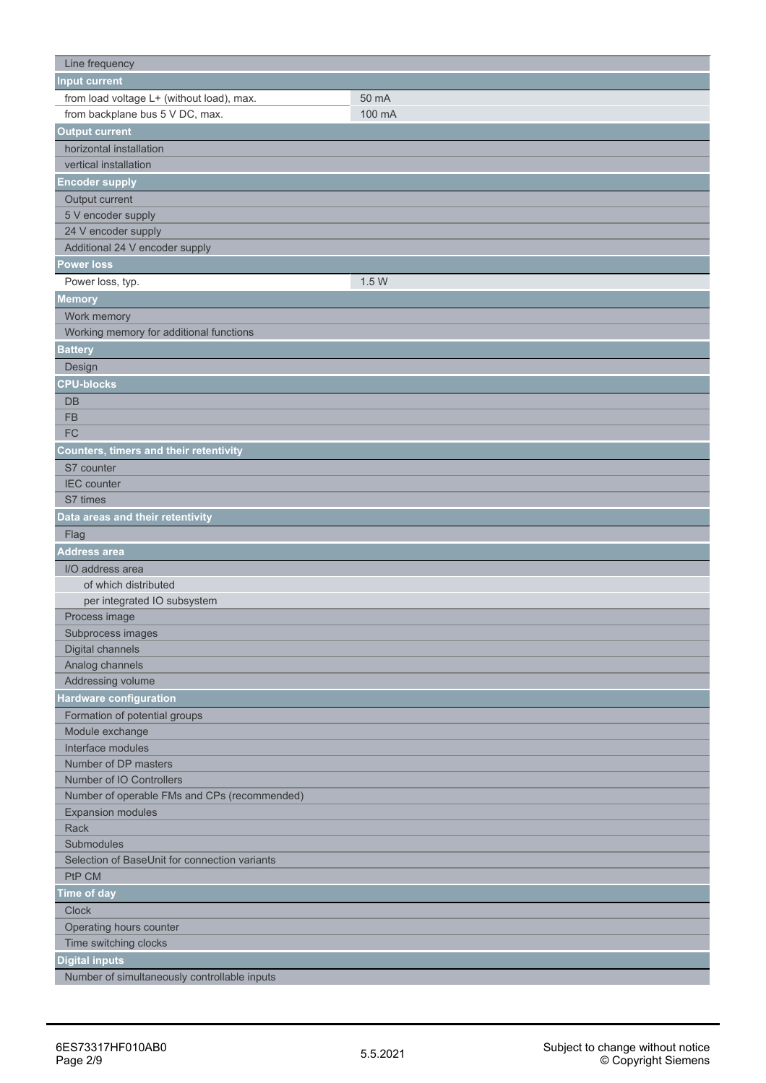| Line frequency                                          |        |
|---------------------------------------------------------|--------|
| <b>Input current</b>                                    |        |
| from load voltage L+ (without load), max.               | 50 mA  |
| from backplane bus 5 V DC, max.                         | 100 mA |
| <b>Output current</b>                                   |        |
| horizontal installation                                 |        |
| vertical installation                                   |        |
| <b>Encoder supply</b>                                   |        |
| Output current                                          |        |
| 5 V encoder supply                                      |        |
| 24 V encoder supply                                     |        |
| Additional 24 V encoder supply                          |        |
| <b>Power loss</b>                                       |        |
| Power loss, typ.                                        | 1.5 W  |
| <b>Memory</b>                                           |        |
| Work memory                                             |        |
| Working memory for additional functions                 |        |
| <b>Battery</b>                                          |        |
| Design                                                  |        |
| <b>CPU-blocks</b>                                       |        |
| DB                                                      |        |
| <b>FB</b>                                               |        |
| FC                                                      |        |
|                                                         |        |
| <b>Counters, timers and their retentivity</b>           |        |
| S7 counter                                              |        |
| <b>IEC</b> counter                                      |        |
| S7 times                                                |        |
| Data areas and their retentivity                        |        |
| Flag                                                    |        |
| <b>Address area</b>                                     |        |
| I/O address area                                        |        |
| of which distributed                                    |        |
| per integrated IO subsystem                             |        |
| Process image                                           |        |
| Subprocess images                                       |        |
| Digital channels                                        |        |
| Analog channels                                         |        |
| Addressing volume                                       |        |
| Hardware configuration                                  |        |
| Formation of potential groups                           |        |
| Module exchange                                         |        |
| Interface modules                                       |        |
| Number of DP masters                                    |        |
| Number of IO Controllers                                |        |
| Number of operable FMs and CPs (recommended)            |        |
| <b>Expansion modules</b>                                |        |
| Rack                                                    |        |
| Submodules                                              |        |
| Selection of BaseUnit for connection variants<br>PtP CM |        |
|                                                         |        |
| <b>Time of day</b>                                      |        |
| <b>Clock</b>                                            |        |
| Operating hours counter<br>Time switching clocks        |        |
|                                                         |        |
| <b>Digital inputs</b>                                   |        |
| Number of simultaneously controllable inputs            |        |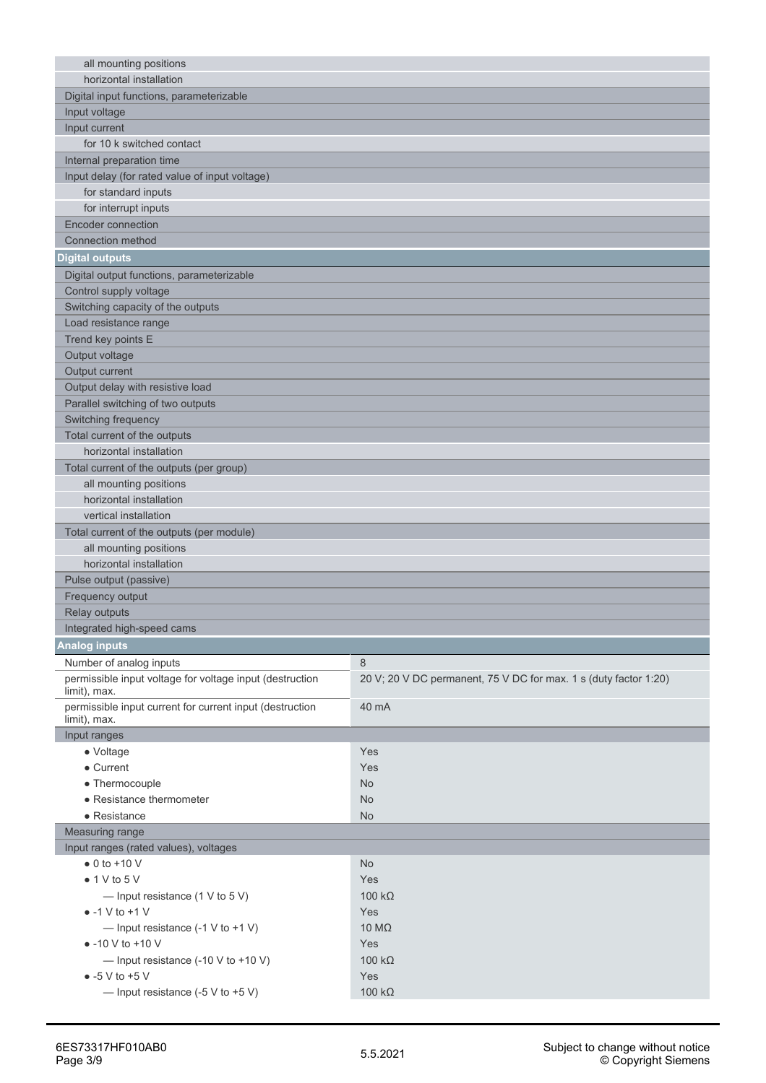| all mounting positions                                                   |                                                                  |
|--------------------------------------------------------------------------|------------------------------------------------------------------|
| horizontal installation                                                  |                                                                  |
| Digital input functions, parameterizable                                 |                                                                  |
| Input voltage                                                            |                                                                  |
| Input current                                                            |                                                                  |
| for 10 k switched contact                                                |                                                                  |
| Internal preparation time                                                |                                                                  |
| Input delay (for rated value of input voltage)                           |                                                                  |
| for standard inputs                                                      |                                                                  |
| for interrupt inputs                                                     |                                                                  |
| <b>Encoder connection</b>                                                |                                                                  |
| Connection method                                                        |                                                                  |
| <b>Digital outputs</b>                                                   |                                                                  |
| Digital output functions, parameterizable                                |                                                                  |
| Control supply voltage                                                   |                                                                  |
| Switching capacity of the outputs                                        |                                                                  |
| Load resistance range                                                    |                                                                  |
| Trend key points E                                                       |                                                                  |
| Output voltage                                                           |                                                                  |
| Output current                                                           |                                                                  |
| Output delay with resistive load                                         |                                                                  |
| Parallel switching of two outputs                                        |                                                                  |
| Switching frequency                                                      |                                                                  |
| Total current of the outputs                                             |                                                                  |
| horizontal installation                                                  |                                                                  |
| Total current of the outputs (per group)                                 |                                                                  |
| all mounting positions                                                   |                                                                  |
| horizontal installation                                                  |                                                                  |
| vertical installation                                                    |                                                                  |
| Total current of the outputs (per module)                                |                                                                  |
| all mounting positions                                                   |                                                                  |
| horizontal installation                                                  |                                                                  |
| Pulse output (passive)                                                   |                                                                  |
| Frequency output                                                         |                                                                  |
| Relay outputs                                                            |                                                                  |
| Integrated high-speed cams                                               |                                                                  |
| <b>Analog inputs</b>                                                     |                                                                  |
| Number of analog inputs                                                  | 8                                                                |
| permissible input voltage for voltage input (destruction<br>limit), max. | 20 V; 20 V DC permanent, 75 V DC for max. 1 s (duty factor 1:20) |
| permissible input current for current input (destruction<br>limit), max. | 40 mA                                                            |
| Input ranges                                                             |                                                                  |
| • Voltage                                                                | Yes                                                              |
| • Current                                                                | Yes                                                              |
| • Thermocouple                                                           | <b>No</b>                                                        |
| • Resistance thermometer                                                 | <b>No</b>                                                        |
| • Resistance                                                             | <b>No</b>                                                        |
| Measuring range                                                          |                                                                  |
| Input ranges (rated values), voltages                                    |                                                                  |
| $\bullet$ 0 to +10 V                                                     | <b>No</b>                                                        |
| $\bullet$ 1 V to 5 V                                                     | Yes                                                              |
| — Input resistance $(1 \vee$ to 5 V)                                     | 100 $k\Omega$                                                    |
| $\bullet$ -1 V to +1 V                                                   | Yes                                                              |
| - Input resistance $(-1 \vee$ to $+1 \vee)$                              | 10 $M\Omega$                                                     |
| $\bullet$ -10 V to +10 V                                                 | Yes                                                              |
| - Input resistance $(-10 \text{ V to } +10 \text{ V})$                   | 100 $k\Omega$                                                    |
| $\bullet$ -5 V to +5 V                                                   | Yes                                                              |
| - Input resistance $(-5 \vee 6 + 5 \vee)$                                | 100 $k\Omega$                                                    |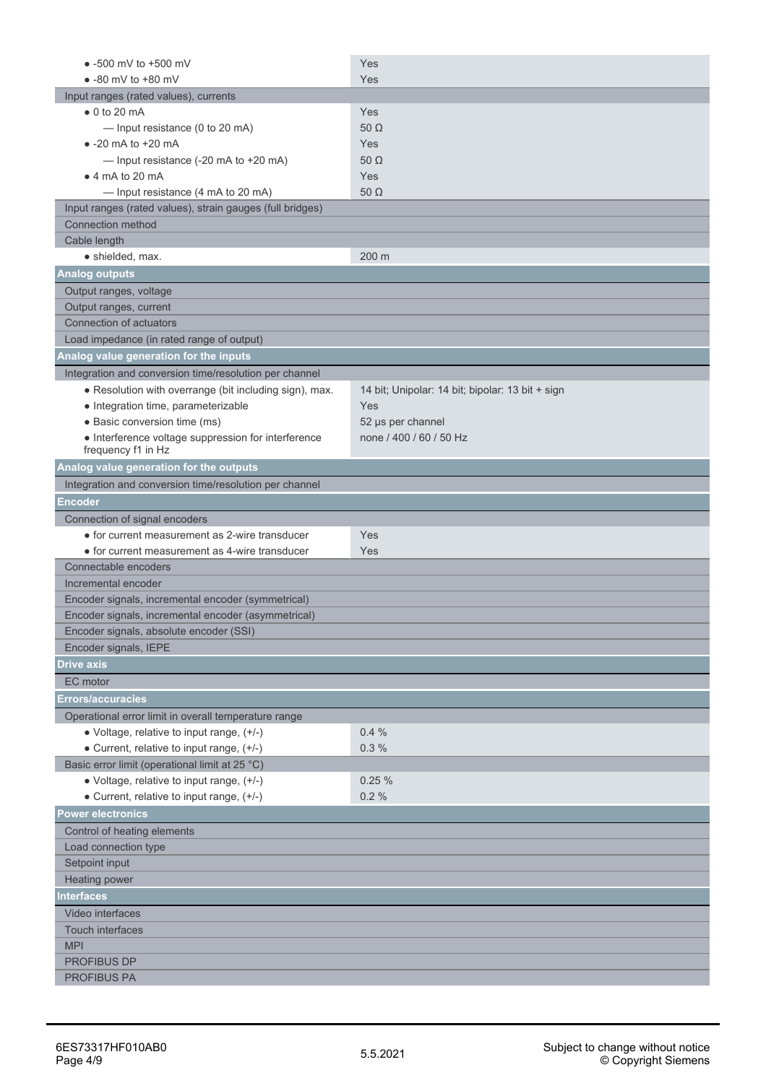| $\bullet$ -500 mV to +500 mV                              | Yes                                              |
|-----------------------------------------------------------|--------------------------------------------------|
| $\bullet$ -80 mV to +80 mV                                | Yes                                              |
| Input ranges (rated values), currents                     |                                                  |
| $\bullet$ 0 to 20 mA                                      | Yes                                              |
| - Input resistance (0 to 20 mA)                           | 50 $\Omega$                                      |
| $\bullet$ -20 mA to +20 mA                                | Yes                                              |
| - Input resistance (-20 mA to +20 mA)                     | 50 $\Omega$                                      |
| $\bullet$ 4 mA to 20 mA                                   | Yes                                              |
| - Input resistance (4 mA to 20 mA)                        | 50 $\Omega$                                      |
| Input ranges (rated values), strain gauges (full bridges) |                                                  |
| <b>Connection method</b>                                  |                                                  |
| Cable length                                              |                                                  |
| · shielded, max.                                          | 200 m                                            |
| <b>Analog outputs</b>                                     |                                                  |
| Output ranges, voltage                                    |                                                  |
| Output ranges, current                                    |                                                  |
| Connection of actuators                                   |                                                  |
| Load impedance (in rated range of output)                 |                                                  |
| Analog value generation for the inputs                    |                                                  |
| Integration and conversion time/resolution per channel    |                                                  |
| • Resolution with overrange (bit including sign), max.    | 14 bit; Unipolar: 14 bit; bipolar: 13 bit + sign |
| • Integration time, parameterizable                       | Yes                                              |
| · Basic conversion time (ms)                              | 52 µs per channel                                |
| • Interference voltage suppression for interference       | none / 400 / 60 / 50 Hz                          |
| frequency f1 in Hz                                        |                                                  |
| Analog value generation for the outputs                   |                                                  |
| Integration and conversion time/resolution per channel    |                                                  |
| <b>Encoder</b>                                            |                                                  |
| Connection of signal encoders                             |                                                  |
| • for current measurement as 2-wire transducer            | Yes                                              |
| • for current measurement as 4-wire transducer            | Yes                                              |
| Connectable encoders                                      |                                                  |
| Incremental encoder                                       |                                                  |
| Encoder signals, incremental encoder (symmetrical)        |                                                  |
| Encoder signals, incremental encoder (asymmetrical)       |                                                  |
| Encoder signals, absolute encoder (SSI)                   |                                                  |
| Encoder signals, IEPE                                     |                                                  |
| <b>Drive axis</b>                                         |                                                  |
| EC motor                                                  |                                                  |
| <b>Errors/accuracies</b>                                  |                                                  |
| Operational error limit in overall temperature range      |                                                  |
| • Voltage, relative to input range, (+/-)                 | 0.4%                                             |
| • Current, relative to input range, (+/-)                 | 0.3%                                             |
| Basic error limit (operational limit at 25 °C)            |                                                  |
| • Voltage, relative to input range, (+/-)                 | 0.25%                                            |
| • Current, relative to input range, (+/-)                 | 0.2%                                             |
| <b>Power electronics</b>                                  |                                                  |
| Control of heating elements                               |                                                  |
| Load connection type                                      |                                                  |
| Setpoint input                                            |                                                  |
| Heating power                                             |                                                  |
| <b>Interfaces</b>                                         |                                                  |
| Video interfaces                                          |                                                  |
| Touch interfaces                                          |                                                  |
| <b>MPI</b>                                                |                                                  |
| <b>PROFIBUS DP</b>                                        |                                                  |
| <b>PROFIBUS PA</b>                                        |                                                  |
|                                                           |                                                  |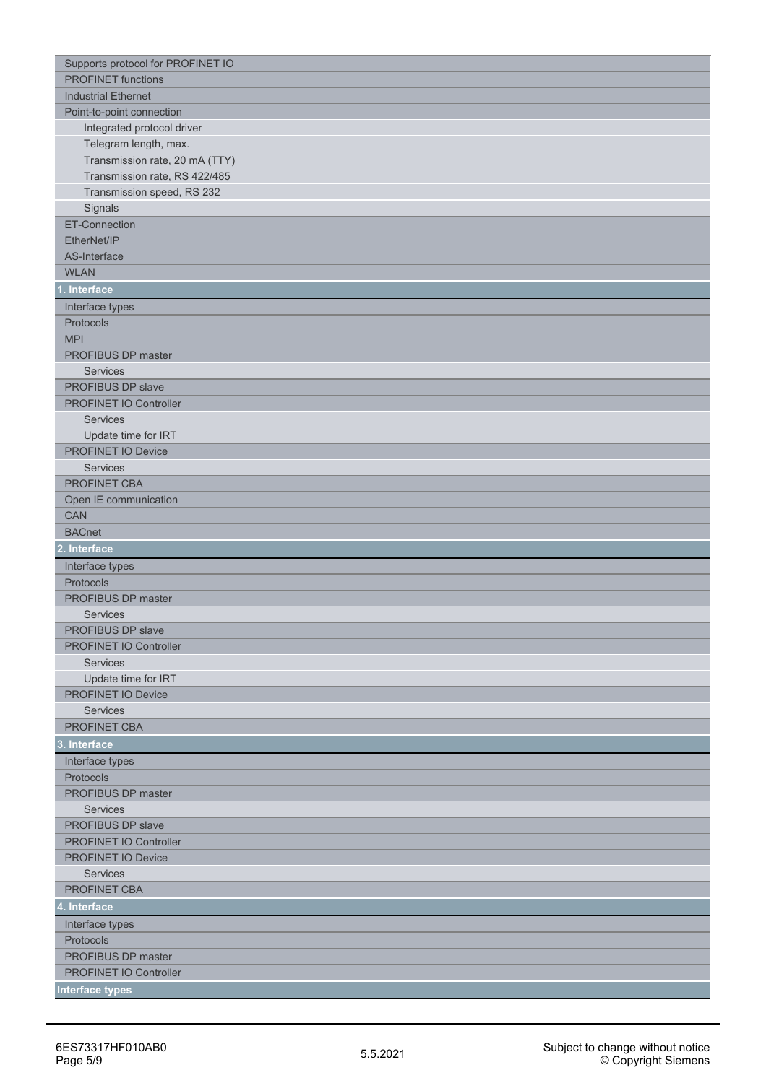| Supports protocol for PROFINET IO |
|-----------------------------------|
| <b>PROFINET</b> functions         |
| <b>Industrial Ethernet</b>        |
| Point-to-point connection         |
| Integrated protocol driver        |
| Telegram length, max.             |
| Transmission rate, 20 mA (TTY)    |
| Transmission rate, RS 422/485     |
| Transmission speed, RS 232        |
| Signals                           |
| ET-Connection                     |
| EtherNet/IP                       |
| AS-Interface                      |
| <b>WLAN</b>                       |
| 1. Interface                      |
| Interface types                   |
| Protocols                         |
| <b>MPI</b>                        |
| PROFIBUS DP master                |
| Services                          |
| PROFIBUS DP slave                 |
| PROFINET IO Controller            |
| Services                          |
| Update time for IRT               |
| PROFINET IO Device                |
| Services                          |
| PROFINET CBA                      |
| Open IE communication             |
| <b>CAN</b>                        |
| <b>BACnet</b>                     |
| 2. Interface                      |
| Interface types                   |
| Protocols                         |
| PROFIBUS DP master                |
| Services                          |
| PROFIBUS DP slave                 |
| PROFINET IO Controller            |
| Services                          |
| Update time for IRT               |
| PROFINET IO Device                |
| Services                          |
| PROFINET CBA                      |
| 3. Interface                      |
| Interface types                   |
| Protocols                         |
| PROFIBUS DP master                |
| Services                          |
| PROFIBUS DP slave                 |
| PROFINET IO Controller            |
| PROFINET IO Device                |
| Services                          |
| PROFINET CBA                      |
| 4. Interface                      |
| Interface types                   |
| Protocols                         |
| PROFIBUS DP master                |
| PROFINET IO Controller            |
| <b>Interface types</b>            |
|                                   |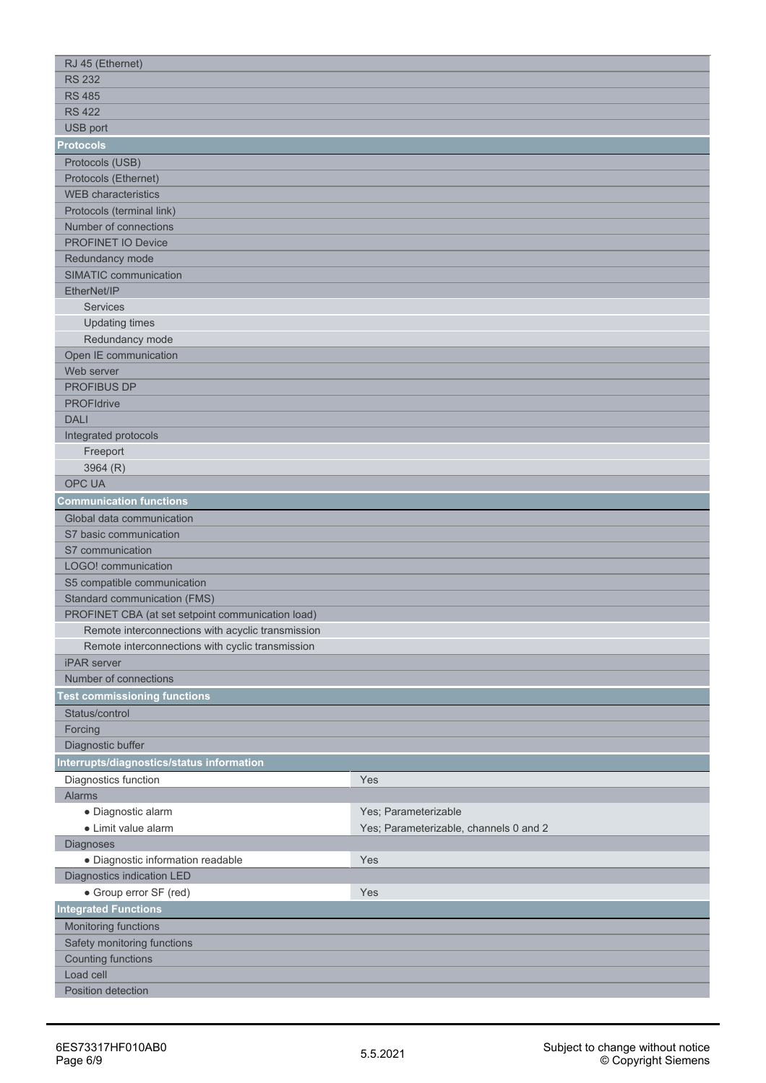| RJ 45 (Ethernet)                                  |                                        |
|---------------------------------------------------|----------------------------------------|
| <b>RS 232</b>                                     |                                        |
| <b>RS 485</b>                                     |                                        |
| <b>RS 422</b>                                     |                                        |
| USB port                                          |                                        |
| <b>Protocols</b>                                  |                                        |
| Protocols (USB)                                   |                                        |
| Protocols (Ethernet)                              |                                        |
| <b>WEB</b> characteristics                        |                                        |
| Protocols (terminal link)                         |                                        |
| Number of connections                             |                                        |
| <b>PROFINET IO Device</b>                         |                                        |
| Redundancy mode                                   |                                        |
| SIMATIC communication                             |                                        |
| EtherNet/IP                                       |                                        |
| Services                                          |                                        |
| <b>Updating times</b>                             |                                        |
| Redundancy mode                                   |                                        |
| Open IE communication                             |                                        |
| Web server                                        |                                        |
| <b>PROFIBUS DP</b>                                |                                        |
| <b>PROFIdrive</b>                                 |                                        |
| <b>DALI</b>                                       |                                        |
| Integrated protocols                              |                                        |
| Freeport                                          |                                        |
| 3964 (R)                                          |                                        |
| <b>OPC UA</b>                                     |                                        |
| <b>Communication functions</b>                    |                                        |
| Global data communication                         |                                        |
| S7 basic communication                            |                                        |
| S7 communication                                  |                                        |
| LOGO! communication                               |                                        |
| S5 compatible communication                       |                                        |
| <b>Standard communication (FMS)</b>               |                                        |
| PROFINET CBA (at set setpoint communication load) |                                        |
| Remote interconnections with acyclic transmission |                                        |
| Remote interconnections with cyclic transmission  |                                        |
| <b>iPAR</b> server                                |                                        |
| Number of connections                             |                                        |
| <b>Fest commissioning functions</b>               |                                        |
| Status/control                                    |                                        |
| Forcing                                           |                                        |
| Diagnostic buffer                                 |                                        |
| nterrupts/diagnostics/status information          |                                        |
| Diagnostics function                              | Yes                                    |
| Alarms                                            |                                        |
| · Diagnostic alarm                                | Yes; Parameterizable                   |
| • Limit value alarm                               | Yes; Parameterizable, channels 0 and 2 |
| <b>Diagnoses</b>                                  |                                        |
| · Diagnostic information readable                 | Yes                                    |
| Diagnostics indication LED                        |                                        |
| • Group error SF (red)                            | Yes                                    |
| <b>Integrated Functions</b>                       |                                        |
| Monitoring functions                              |                                        |
| Safety monitoring functions                       |                                        |
| <b>Counting functions</b>                         |                                        |
| Load cell                                         |                                        |
| Position detection                                |                                        |
|                                                   |                                        |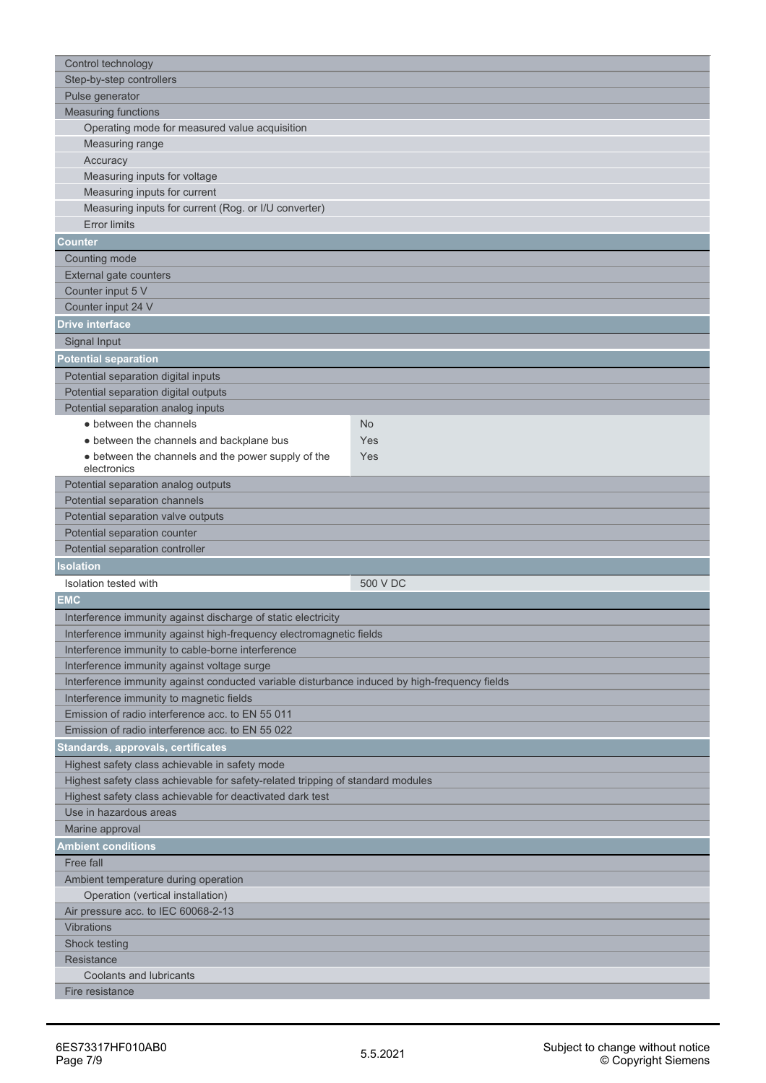| Control technology                                                                            |          |
|-----------------------------------------------------------------------------------------------|----------|
| Step-by-step controllers                                                                      |          |
| Pulse generator                                                                               |          |
| <b>Measuring functions</b>                                                                    |          |
| Operating mode for measured value acquisition                                                 |          |
| Measuring range                                                                               |          |
| Accuracy                                                                                      |          |
| Measuring inputs for voltage                                                                  |          |
| Measuring inputs for current                                                                  |          |
| Measuring inputs for current (Rog. or I/U converter)                                          |          |
| <b>Error limits</b>                                                                           |          |
| <b>Counter</b>                                                                                |          |
| Counting mode                                                                                 |          |
| External gate counters                                                                        |          |
| Counter input 5 V                                                                             |          |
| Counter input 24 V                                                                            |          |
|                                                                                               |          |
| <b>Drive interface</b>                                                                        |          |
| Signal Input                                                                                  |          |
| <b>Potential separation</b>                                                                   |          |
| Potential separation digital inputs                                                           |          |
| Potential separation digital outputs                                                          |          |
| Potential separation analog inputs                                                            |          |
| • between the channels                                                                        | No       |
| • between the channels and backplane bus                                                      | Yes      |
| • between the channels and the power supply of the                                            | Yes      |
| electronics                                                                                   |          |
| Potential separation analog outputs                                                           |          |
| Potential separation channels                                                                 |          |
| Potential separation valve outputs                                                            |          |
| Potential separation counter                                                                  |          |
|                                                                                               |          |
| Potential separation controller                                                               |          |
| <b>Isolation</b>                                                                              |          |
| Isolation tested with                                                                         | 500 V DC |
| <b>EMC</b>                                                                                    |          |
| Interference immunity against discharge of static electricity                                 |          |
| Interference immunity against high-frequency electromagnetic fields                           |          |
| Interference immunity to cable-borne interference                                             |          |
| Interference immunity against voltage surge                                                   |          |
| Interference immunity against conducted variable disturbance induced by high-frequency fields |          |
| Interference immunity to magnetic fields                                                      |          |
| Emission of radio interference acc. to EN 55 011                                              |          |
| Emission of radio interference acc. to EN 55 022                                              |          |
| Standards, approvals, certificates                                                            |          |
| Highest safety class achievable in safety mode                                                |          |
| Highest safety class achievable for safety-related tripping of standard modules               |          |
| Highest safety class achievable for deactivated dark test                                     |          |
| Use in hazardous areas                                                                        |          |
| Marine approval                                                                               |          |
| <b>Ambient conditions</b>                                                                     |          |
| Free fall                                                                                     |          |
|                                                                                               |          |
| Ambient temperature during operation                                                          |          |
| Operation (vertical installation)<br>Air pressure acc. to IEC 60068-2-13                      |          |
| <b>Vibrations</b>                                                                             |          |
| Shock testing                                                                                 |          |
| Resistance                                                                                    |          |
| <b>Coolants and lubricants</b>                                                                |          |
| Fire resistance                                                                               |          |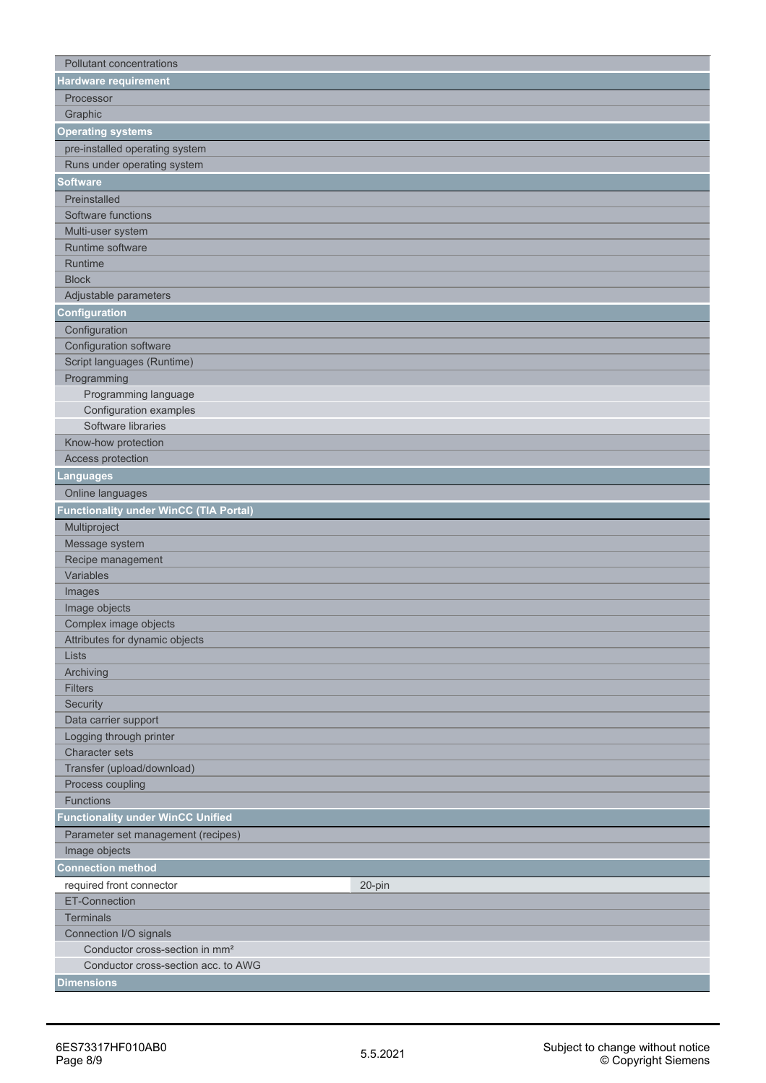| Pollutant concentrations                   |        |
|--------------------------------------------|--------|
| Hardware requirement                       |        |
| Processor                                  |        |
| Graphic                                    |        |
| <b>Operating systems</b>                   |        |
| pre-installed operating system             |        |
| Runs under operating system                |        |
| <b>Software</b>                            |        |
|                                            |        |
| Preinstalled<br>Software functions         |        |
| Multi-user system                          |        |
| Runtime software                           |        |
| Runtime                                    |        |
| <b>Block</b>                               |        |
| Adjustable parameters                      |        |
| Configuration                              |        |
|                                            |        |
| Configuration<br>Configuration software    |        |
| Script languages (Runtime)                 |        |
| Programming                                |        |
| Programming language                       |        |
| Configuration examples                     |        |
| Software libraries                         |        |
| Know-how protection                        |        |
| Access protection                          |        |
| Languages                                  |        |
| Online languages                           |        |
| Functionality under WinCC (TIA Portal)     |        |
|                                            |        |
| Multiproject                               |        |
| Message system<br>Recipe management        |        |
| Variables                                  |        |
| Images                                     |        |
| Image objects                              |        |
| Complex image objects                      |        |
| Attributes for dynamic objects             |        |
| Lists                                      |        |
| Archiving                                  |        |
| <b>Filters</b>                             |        |
| Security                                   |        |
| Data carrier support                       |        |
| Logging through printer                    |        |
| <b>Character sets</b>                      |        |
| Transfer (upload/download)                 |        |
| Process coupling                           |        |
| <b>Functions</b>                           |        |
| <b>Functionality under WinCC Unified</b>   |        |
| Parameter set management (recipes)         |        |
| Image objects                              |        |
| <b>Connection method</b>                   |        |
| required front connector                   | 20-pin |
| <b>ET-Connection</b>                       |        |
| <b>Terminals</b>                           |        |
| Connection I/O signals                     |        |
| Conductor cross-section in mm <sup>2</sup> |        |
| Conductor cross-section acc. to AWG        |        |
| <b>Dimensions</b>                          |        |